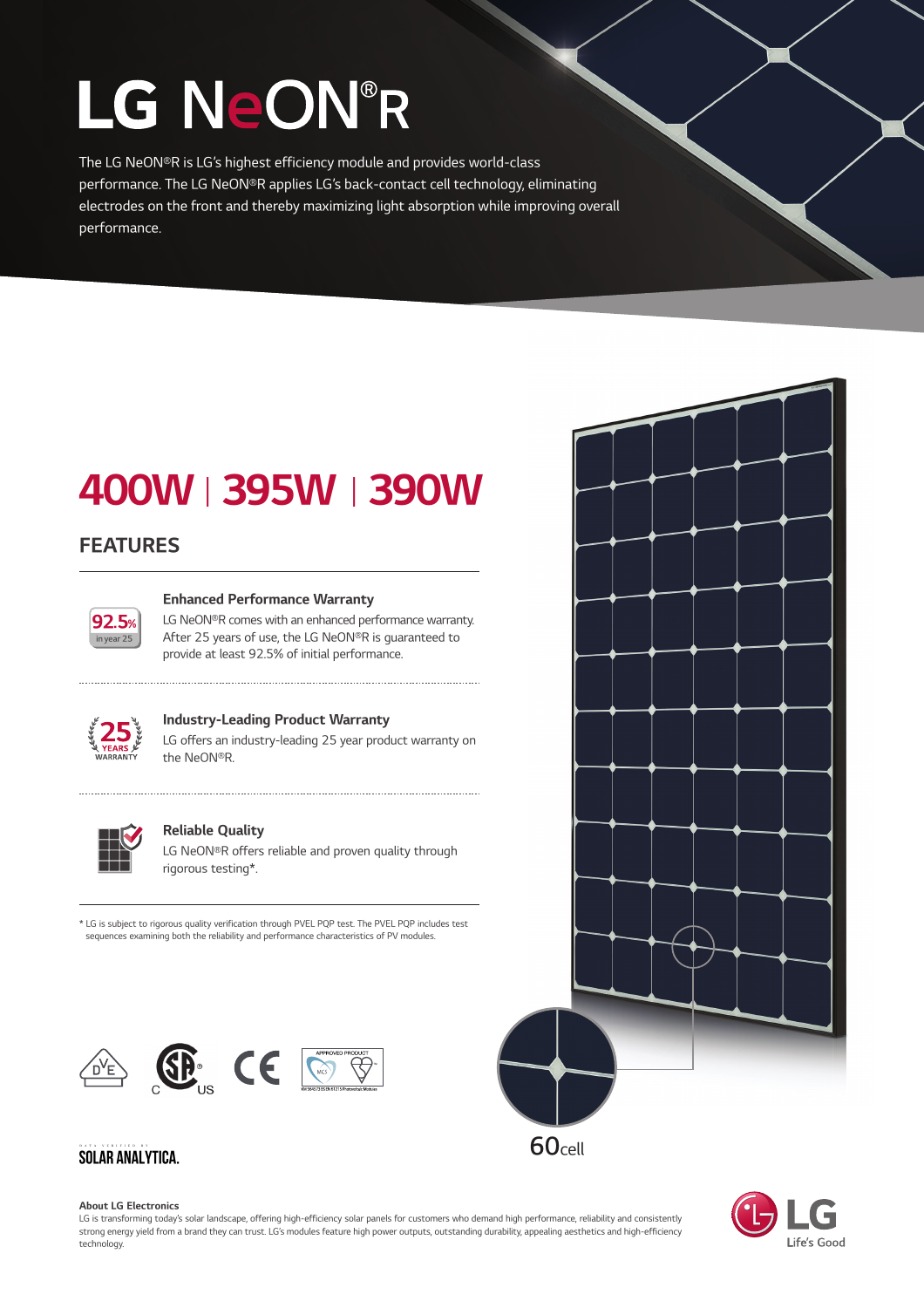# LG NeON®R

The LG NeON®R is LG's highest efficiency module and provides world-class performance. The LG NeON®R applies LG's back-contact cell technology, eliminating electrodes on the front and thereby maximizing light absorption while improving overall performance.

# 400WⅠ395WⅠ390W

# FEATURES



#### Enhanced Performance Warranty

LG NeON®R comes with an enhanced performance warranty. After 25 years of use, the LG NeON®R is guaranteed to provide at least 92.5% of initial performance.



### Industry-Leading Product Warranty

LG offers an industry-leading 25 year product warranty on the NeON®R.



#### Reliable Quality

LG NeON®R offers reliable and proven quality through rigorous testing\*.

\* LG is subject to rigorous quality verification through PVEL PQP test. The PVEL PQP includes test sequences examining both the reliability and performance characteristics of PV modules.



## **SOLAR ANALYTICA.**

#### About LG Electronics

LG is transforming today's solar landscape, offering high-efficiency solar panels for customers who demand high performance, reliability and consistently strong energy yield from a brand they can trust. LG's modules feature high power outputs, outstanding durability, appealing aesthetics and high-efficiency technology.